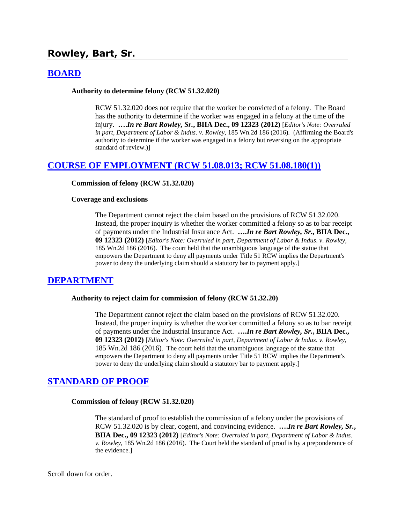# **Rowley, Bart, Sr.**

# **[BOARD](http://www.biia.wa.gov/SDSubjectIndex.html#BOARD)**

#### **Authority to determine felony (RCW 51.32.020)**

RCW 51.32.020 does not require that the worker be convicted of a felony. The Board has the authority to determine if the worker was engaged in a felony at the time of the injury. **….***In re Bart Rowley, Sr.***, BIIA Dec., 09 12323 (2012)** [*Editor's Note: Overruled in part, Department of Labor & Indus*. *v. Rowley,* 185 Wn.2d 186 (2016). (Affirming the Board's authority to determine if the worker was engaged in a felony but reversing on the appropriate standard of review.)]

### **[COURSE OF EMPLOYMENT \(RCW 51.08.013; RCW 51.08.180\(1\)\)](http://www.biia.wa.gov/SDSubjectIndex.html#COURSE_OF_EMPLOYMENT)**

#### **Commission of felony (RCW 51.32.020)**

#### **Coverage and exclusions**

The Department cannot reject the claim based on the provisions of RCW 51.32.020. Instead, the proper inquiry is whether the worker committed a felony so as to bar receipt of payments under the Industrial Insurance Act. **….***In re Bart Rowley, Sr.,* **BIIA Dec., 09 12323 (2012)** [*Editor's Note: Overruled in part*, *Department of Labor & Indus*. *v. Rowley,* 185 Wn.2d 186 (2016). The court held that the unambiguous language of the statue that empowers the Department to deny all payments under Title 51 RCW implies the Department's power to deny the underlying claim should a statutory bar to payment apply.]

#### **[DEPARTMENT](http://www.biia.wa.gov/SDSubjectIndex.html#DEPARTMENT)**

#### **Authority to reject claim for commission of felony (RCW 51.32.20)**

The Department cannot reject the claim based on the provisions of RCW 51.32.020. Instead, the proper inquiry is whether the worker committed a felony so as to bar receipt of payments under the Industrial Insurance Act. **….***In re Bart Rowley, Sr.***, BIIA Dec., 09 12323 (2012)** [*Editor's Note: Overruled in part*, *Department of Labor & Indus*. *v. Rowley,* 185 Wn.2d 186 (2016). The court held that the unambiguous language of the statue that empowers the Department to deny all payments under Title 51 RCW implies the Department's power to deny the underlying claim should a statutory bar to payment apply.]

#### **[STANDARD OF PROOF](http://www.biia.wa.gov/SDSubjectIndex.html#STANDARD_OF_PROOF)**

#### **Commission of felony (RCW 51.32.020)**

The standard of proof to establish the commission of a felony under the provisions of RCW 51.32.020 is by clear, cogent, and convincing evidence. **….***In re Bart Rowley, Sr.***, BIIA Dec., 09 12323 (2012)** [*Editor's Note: Overruled in part*, *Department of Labor & Indus*. *v. Rowley,* 185 Wn.2d 186 (2016). The Court held the standard of proof is by a preponderance of the evidence.]

Scroll down for order.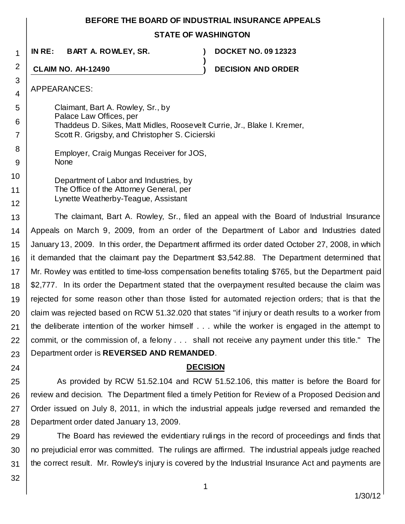### **BEFORE THE BOARD OF INDUSTRIAL INSURANCE APPEALS**

# **STATE OF WASHINGTON**

**)**

**IN RE: BART A. ROWLEY, SR. ) DOCKET NO. 09 12323**

**CLAIM NO. AH-12490 ) DECISION AND ORDER**

APPEARANCES:

1

2

3 4

5

6 7

8 9

- Claimant, Bart A. Rowley, Sr., by Palace Law Offices, per Thaddeus D. Sikes, Matt Midles, Roosevelt Currie, Jr., Blake I. Kremer, Scott R. Grigsby, and Christopher S. Cicierski
	- Employer, Craig Mungas Receiver for JOS, None
- 10 11 12 Department of Labor and Industries, by The Office of the Attorney General, per Lynette Weatherby-Teague, Assistant

13 14 15 16 17 18 19 20 21 22 23 The claimant, Bart A. Rowley, Sr., filed an appeal with the Board of Industrial Insurance Appeals on March 9, 2009, from an order of the Department of Labor and Industries dated January 13, 2009. In this order, the Department affirmed its order dated October 27, 2008, in which it demanded that the claimant pay the Department \$3,542.88. The Department determined that Mr. Rowley was entitled to time-loss compensation benefits totaling \$765, but the Department paid \$2,777. In its order the Department stated that the overpayment resulted because the claim was rejected for some reason other than those listed for automated rejection orders; that is that the claim was rejected based on RCW 51.32.020 that states "if injury or death results to a worker from the deliberate intention of the worker himself . . . while the worker is engaged in the attempt to commit, or the commission of, a felony . . . shall not receive any payment under this title." The Department order is **REVERSED AND REMANDED**.

# **DECISION**

25 26 27 28 As provided by RCW 51.52.104 and RCW 51.52.106, this matter is before the Board for review and decision. The Department filed a timely Petition for Review of a Proposed Decision and Order issued on July 8, 2011, in which the industrial appeals judge reversed and remanded the Department order dated January 13, 2009.

29 30 31 The Board has reviewed the evidentiary rulings in the record of proceedings and finds that no prejudicial error was committed. The rulings are affirmed. The industrial appeals judge reached the correct result. Mr. Rowley's injury is covered by the Industrial Insurance Act and payments are

32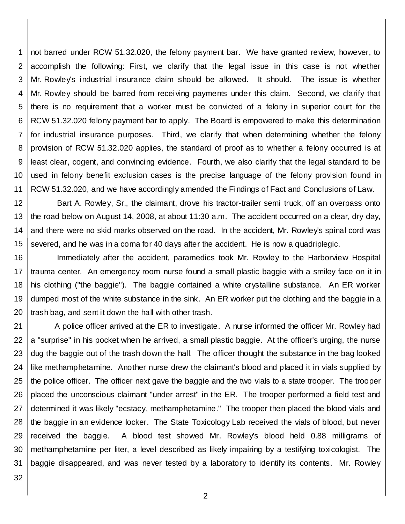1 2 3 4 5 6 7 8 9 10 11 not barred under RCW 51.32.020, the felony payment bar. We have granted review, however, to accomplish the following: First, we clarify that the legal issue in this case is not whether Mr. Rowley's industrial insurance claim should be allowed. It should. The issue is whether Mr. Rowley should be barred from receiving payments under this claim. Second, we clarify that there is no requirement that a worker must be convicted of a felony in superior court for the RCW 51.32.020 felony payment bar to apply. The Board is empowered to make this determination for industrial insurance purposes. Third, we clarify that when determining whether the felony provision of RCW 51.32.020 applies, the standard of proof as to whether a felony occurred is at least clear, cogent, and convincing evidence. Fourth, we also clarify that the legal standard to be used in felony benefit exclusion cases is the precise language of the felony provision found in RCW 51.32.020, and we have accordingly amended the Findings of Fact and Conclusions of Law.

12 13 14 15 Bart A. Rowley, Sr., the claimant, drove his tractor-trailer semi truck, off an overpass onto the road below on August 14, 2008, at about 11:30 a.m. The accident occurred on a clear, dry day, and there were no skid marks observed on the road. In the accident, Mr. Rowley's spinal cord was severed, and he was in a coma for 40 days after the accident. He is now a quadriplegic.

16 17 18 19 20 Immediately after the accident, paramedics took Mr. Rowley to the Harborview Hospital trauma center. An emergency room nurse found a small plastic baggie with a smiley face on it in his clothing ("the baggie"). The baggie contained a white crystalline substance. An ER worker dumped most of the white substance in the sink. An ER worker put the clothing and the baggie in a trash bag, and sent it down the hall with other trash.

21 22 23 24 25 26 27 28 29 30 31 A police officer arrived at the ER to investigate. A nurse informed the officer Mr. Rowley had a "surprise" in his pocket when he arrived, a small plastic baggie. At the officer's urging, the nurse dug the baggie out of the trash down the hall. The officer thought the substance in the bag looked like methamphetamine. Another nurse drew the claimant's blood and placed it in vials supplied by the police officer. The officer next gave the baggie and the two vials to a state trooper. The trooper placed the unconscious claimant "under arrest" in the ER. The trooper performed a field test and determined it was likely "ecstacy, methamphetamine." The trooper then placed the blood vials and the baggie in an evidence locker. The State Toxicology Lab received the vials of blood, but never received the baggie. A blood test showed Mr. Rowley's blood held 0.88 milligrams of methamphetamine per liter, a level described as likely impairing by a testifying toxicologist. The baggie disappeared, and was never tested by a laboratory to identify its contents. Mr. Rowley

32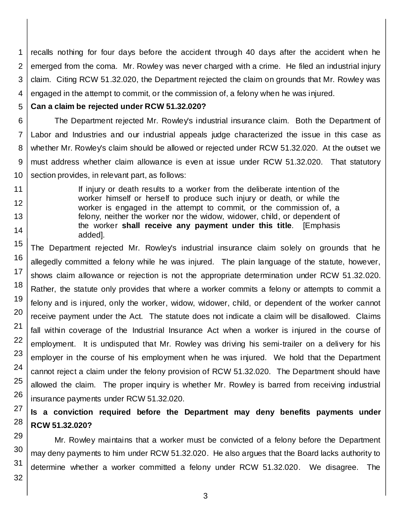1 2 3 4 recalls nothing for four days before the accident through 40 days after the accident when he emerged from the coma. Mr. Rowley was never charged with a crime. He filed an industrial injury claim. Citing RCW 51.32.020, the Department rejected the claim on grounds that Mr. Rowley was engaged in the attempt to commit, or the commission of, a felony when he was injured.

5 **Can a claim be rejected under RCW 51.32.020?**

6 7 8 9 10 The Department rejected Mr. Rowley's industrial insurance claim. Both the Department of Labor and Industries and our industrial appeals judge characterized the issue in this case as whether Mr. Rowley's claim should be allowed or rejected under RCW 51.32.020. At the outset we must address whether claim allowance is even at issue under RCW 51.32.020. That statutory section provides, in relevant part, as follows:

> If injury or death results to a worker from the deliberate intention of the worker himself or herself to produce such injury or death, or while the worker is engaged in the attempt to commit, or the commission of, a felony, neither the worker nor the widow, widower, child, or dependent of the worker **shall receive any payment under this title**. [Emphasis added].

15 16 17 18 19 20 21 22 23 24 25 26 The Department rejected Mr. Rowley's industrial insurance claim solely on grounds that he allegedly committed a felony while he was injured. The plain language of the statute, however, shows claim allowance or rejection is not the appropriate determination under RCW 51.32.020. Rather, the statute only provides that where a worker commits a felony or attempts to commit a felony and is injured, only the worker, widow, widower, child, or dependent of the worker cannot receive payment under the Act. The statute does not indicate a claim will be disallowed. Claims fall within coverage of the Industrial Insurance Act when a worker is injured in the course of employment. It is undisputed that Mr. Rowley was driving his semi-trailer on a delivery for his employer in the course of his employment when he was injured. We hold that the Department cannot reject a claim under the felony provision of RCW 51.32.020. The Department should have allowed the claim. The proper inquiry is whether Mr. Rowley is barred from receiving industrial insurance payments under RCW 51.32.020.

#### 27 28 **Is a conviction required before the Department may deny benefits payments under RCW 51.32.020?**

Mr. Rowley maintains that a worker must be convicted of a felony before the Department may deny payments to him under RCW 51.32.020. He also argues that the Board lacks authority to determine whether a worker committed a felony under RCW 51.32.020. We disagree. The

29 30 31

32

11

12 13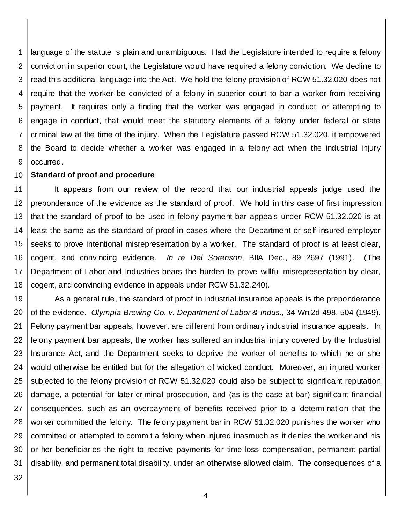1 2 3 4 5 6 7 8 9 language of the statute is plain and unambiguous. Had the Legislature intended to require a felony conviction in superior court, the Legislature would have required a felony conviction. We decline to read this additional language into the Act. We hold the felony provision of RCW 51.32.020 does not require that the worker be convicted of a felony in superior court to bar a worker from receiving payment. It requires only a finding that the worker was engaged in conduct, or attempting to engage in conduct, that would meet the statutory elements of a felony under federal or state criminal law at the time of the injury. When the Legislature passed RCW 51.32.020, it empowered the Board to decide whether a worker was engaged in a felony act when the industrial injury occurred.

#### 10 **Standard of proof and procedure**

11 12 13 14 15 16 17 18 It appears from our review of the record that our industrial appeals judge used the preponderance of the evidence as the standard of proof. We hold in this case of first impression that the standard of proof to be used in felony payment bar appeals under RCW 51.32.020 is at least the same as the standard of proof in cases where the Department or self-insured employer seeks to prove intentional misrepresentation by a worker. The standard of proof is at least clear, cogent, and convincing evidence. *In re Del Sorenson*, BIIA Dec., 89 2697 (1991). (The Department of Labor and Industries bears the burden to prove willful misrepresentation by clear, cogent, and convincing evidence in appeals under RCW 51.32.240).

19 20 21 22 23 24 25 26 27 28 29 30 31 As a general rule, the standard of proof in industrial insurance appeals is the preponderance of the evidence. *Olympia Brewing Co. v. Department of Labor & Indus.*, 34 Wn.2d 498, 504 (1949). Felony payment bar appeals, however, are different from ordinary industrial insurance appeals. In felony payment bar appeals, the worker has suffered an industrial injury covered by the Industrial Insurance Act, and the Department seeks to deprive the worker of benefits to which he or she would otherwise be entitled but for the allegation of wicked conduct. Moreover, an injured worker subjected to the felony provision of RCW 51.32.020 could also be subject to significant reputation damage, a potential for later criminal prosecution, and (as is the case at bar) significant financial consequences, such as an overpayment of benefits received prior to a determination that the worker committed the felony. The felony payment bar in RCW 51.32.020 punishes the worker who committed or attempted to commit a felony when injured inasmuch as it denies the worker and his or her beneficiaries the right to receive payments for time-loss compensation, permanent partial disability, and permanent total disability, under an otherwise allowed claim. The consequences of a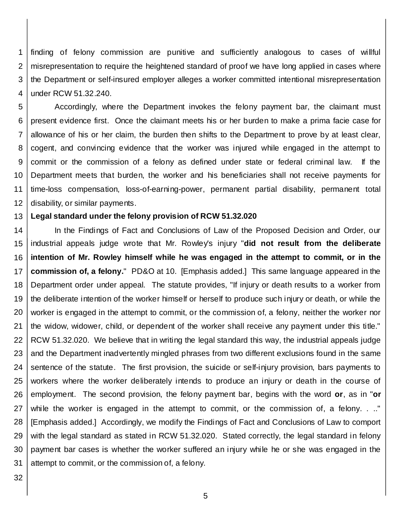1 2 3 4 finding of felony commission are punitive and sufficiently analogous to cases of willful misrepresentation to require the heightened standard of proof we have long applied in cases where the Department or self-insured employer alleges a worker committed intentional misrepresentation under RCW 51.32.240.

5 6 7 8 9 10 11 12 Accordingly, where the Department invokes the felony payment bar, the claimant must present evidence first. Once the claimant meets his or her burden to make a prima facie case for allowance of his or her claim, the burden then shifts to the Department to prove by at least clear, cogent, and convincing evidence that the worker was injured while engaged in the attempt to commit or the commission of a felony as defined under state or federal criminal law. If the Department meets that burden, the worker and his beneficiaries shall not receive payments for time-loss compensation, loss-of-earning-power, permanent partial disability, permanent total disability, or similar payments.

#### 13 **Legal standard under the felony provision of RCW 51.32.020**

14 15 16 17 18 19 20 21 22 23 24 25 26 27 28 29 30 31 In the Findings of Fact and Conclusions of Law of the Proposed Decision and Order, our industrial appeals judge wrote that Mr. Rowley's injury "**did not result from the deliberate intention of Mr. Rowley himself while he was engaged in the attempt to commit, or in the commission of, a felony.**" PD&O at 10. [Emphasis added.] This same language appeared in the Department order under appeal. The statute provides, "If injury or death results to a worker from the deliberate intention of the worker himself or herself to produce such injury or death, or while the worker is engaged in the attempt to commit, or the commission of, a felony, neither the worker nor the widow, widower, child, or dependent of the worker shall receive any payment under this title." RCW 51.32.020. We believe that in writing the legal standard this way, the industrial appeals judge and the Department inadvertently mingled phrases from two different exclusions found in the same sentence of the statute. The first provision, the suicide or self-injury provision, bars payments to workers where the worker deliberately intends to produce an injury or death in the course of employment. The second provision, the felony payment bar, begins with the word **or**, as in "**or**  while the worker is engaged in the attempt to commit, or the commission of, a felony. . .." [Emphasis added.] Accordingly, we modify the Findings of Fact and Conclusions of Law to comport with the legal standard as stated in RCW 51.32.020. Stated correctly, the legal standard in felony payment bar cases is whether the worker suffered an injury while he or she was engaged in the attempt to commit, or the commission of, a felony.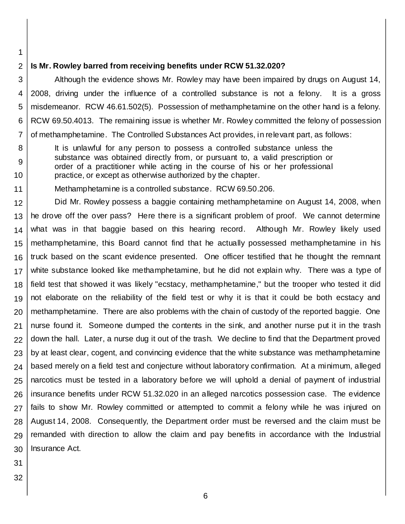1 2

8

9

10

#### **Is Mr. Rowley barred from receiving benefits under RCW 51.32.020?**

3 4 5 6 7 Although the evidence shows Mr. Rowley may have been impaired by drugs on August 14, 2008, driving under the influence of a controlled substance is not a felony. It is a gross misdemeanor. RCW 46.61.502(5). Possession of methamphetamine on the other hand is a felony. RCW 69.50.4013. The remaining issue is whether Mr. Rowley committed the felony of possession of methamphetamine. The Controlled Substances Act provides, in relevant part, as follows:

- It is unlawful for any person to possess a controlled substance unless the substance was obtained directly from, or pursuant to, a valid prescription or order of a practitioner while acting in the course of his or her professional practice, or except as otherwise authorized by the chapter.
- 11 Methamphetamine is a controlled substance. RCW 69.50.206.

12 13 14 15 16 17 18 19 20 21 22 23 24 25 26 27 28 29 30 Did Mr. Rowley possess a baggie containing methamphetamine on August 14, 2008, when he drove off the over pass? Here there is a significant problem of proof. We cannot determine what was in that baggie based on this hearing record. Although Mr. Rowley likely used methamphetamine, this Board cannot find that he actually possessed methamphetamine in his truck based on the scant evidence presented. One officer testified that he thought the remnant white substance looked like methamphetamine, but he did not explain why. There was a type of field test that showed it was likely "ecstacy, methamphetamine," but the trooper who tested it did not elaborate on the reliability of the field test or why it is that it could be both ecstacy and methamphetamine. There are also problems with the chain of custody of the reported baggie. One nurse found it. Someone dumped the contents in the sink, and another nurse put it in the trash down the hall. Later, a nurse dug it out of the trash. We decline to find that the Department proved by at least clear, cogent, and convincing evidence that the white substance was methamphetamine based merely on a field test and conjecture without laboratory confirmation. At a minimum, alleged narcotics must be tested in a laboratory before we will uphold a denial of payment of industrial insurance benefits under RCW 51.32.020 in an alleged narcotics possession case. The evidence fails to show Mr. Rowley committed or attempted to commit a felony while he was injured on August 14, 2008. Consequently, the Department order must be reversed and the claim must be remanded with direction to allow the claim and pay benefits in accordance with the Industrial Insurance Act.

- 31
- 32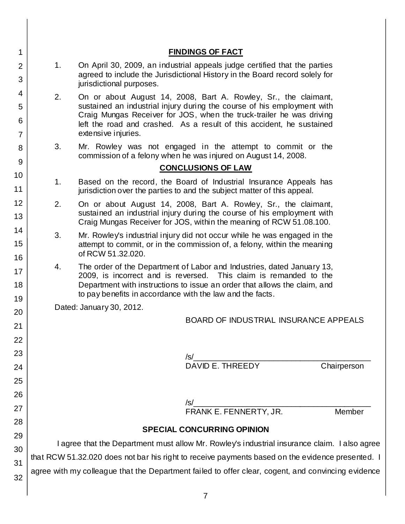| 1                             | <b>FINDINGS OF FACT</b>                                                                                                                                                                                                                                                                                                  |  |                |        |
|-------------------------------|--------------------------------------------------------------------------------------------------------------------------------------------------------------------------------------------------------------------------------------------------------------------------------------------------------------------------|--|----------------|--------|
| $\overline{2}$<br>3           | 1.<br>On April 30, 2009, an industrial appeals judge certified that the parties<br>agreed to include the Jurisdictional History in the Board record solely for<br>jurisdictional purposes.                                                                                                                               |  |                |        |
| 4<br>5<br>6<br>$\overline{7}$ | 2.<br>On or about August 14, 2008, Bart A. Rowley, Sr., the claimant,<br>sustained an industrial injury during the course of his employment with<br>Craig Mungas Receiver for JOS, when the truck-trailer he was driving<br>left the road and crashed. As a result of this accident, he sustained<br>extensive injuries. |  |                |        |
| 8                             | 3.<br>Mr. Rowley was not engaged in the attempt to commit or the<br>commission of a felony when he was injured on August 14, 2008.                                                                                                                                                                                       |  |                |        |
| 9                             | <b>CONCLUSIONS OF LAW</b>                                                                                                                                                                                                                                                                                                |  |                |        |
| 10<br>11                      | Based on the record, the Board of Industrial Insurance Appeals has<br>1.<br>jurisdiction over the parties to and the subject matter of this appeal.                                                                                                                                                                      |  |                |        |
| 12<br>13                      | 2.<br>On or about August 14, 2008, Bart A. Rowley, Sr., the claimant,<br>sustained an industrial injury during the course of his employment with<br>Craig Mungas Receiver for JOS, within the meaning of RCW 51.08.100.                                                                                                  |  |                |        |
| 14<br>15<br>16                | 3.<br>Mr. Rowley's industrial injury did not occur while he was engaged in the<br>attempt to commit, or in the commission of, a felony, within the meaning<br>of RCW 51.32.020.                                                                                                                                          |  |                |        |
| 17<br>18                      | The order of the Department of Labor and Industries, dated January 13,<br>4.<br>2009, is incorrect and is reversed. This claim is remanded to the<br>Department with instructions to issue an order that allows the claim, and<br>to pay benefits in accordance with the law and the facts.                              |  |                |        |
| 19                            | Dated: January 30, 2012.                                                                                                                                                                                                                                                                                                 |  |                |        |
| 20<br>21                      | <b>BOARD OF INDUSTRIAL INSURANCE APPEALS</b>                                                                                                                                                                                                                                                                             |  |                |        |
| 22                            |                                                                                                                                                                                                                                                                                                                          |  |                |        |
| 23                            |                                                                                                                                                                                                                                                                                                                          |  |                |        |
| 24                            | <b>Chairperson</b>                                                                                                                                                                                                                                                                                                       |  |                |        |
| 25                            |                                                                                                                                                                                                                                                                                                                          |  |                |        |
| 26<br>27                      |                                                                                                                                                                                                                                                                                                                          |  |                |        |
| 28                            |                                                                                                                                                                                                                                                                                                                          |  |                | Member |
| 29                            | <b>SPECIAL CONCURRING OPINION</b>                                                                                                                                                                                                                                                                                        |  |                |        |
| 30                            | I agree that the Department must allow Mr. Rowley's industrial insurance claim. I also agree                                                                                                                                                                                                                             |  |                |        |
| 31                            | that RCW 51.32.020 does not bar his right to receive payments based on the evidence presented. I                                                                                                                                                                                                                         |  |                |        |
| 32                            | agree with my colleague that the Department failed to offer clear, cogent, and convincing evidence                                                                                                                                                                                                                       |  |                |        |
|                               |                                                                                                                                                                                                                                                                                                                          |  | $\overline{7}$ |        |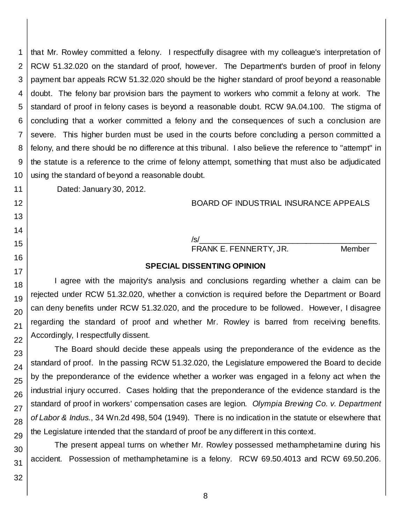1 2 3 4 5 that Mr. Rowley committed a felony. I respectfully disagree with my colleague's interpretation of RCW 51.32.020 on the standard of proof, however. The Department's burden of proof in felony payment bar appeals RCW 51.32.020 should be the higher standard of proof beyond a reasonable doubt. The felony bar provision bars the payment to workers who commit a felony at work. The standard of proof in felony cases is beyond a reasonable doubt. RCW 9A.04.100. The stigma of concluding that a worker committed a felony and the consequences of such a conclusion are severe. This higher burden must be used in the courts before concluding a person committed a felony, and there should be no difference at this tribunal. I also believe the reference to "attempt" in the statute is a reference to the crime of felony attempt, something that must also be adjudicated using the standard of beyond a reasonable doubt.

Dated: January 30, 2012.

# BOARD OF INDUSTRIAL INSURANCE APPEALS

# /s/\_\_\_\_\_\_\_\_\_\_\_\_\_\_\_\_\_\_\_\_\_\_\_\_\_\_\_\_\_\_\_\_\_\_\_\_\_\_\_\_

FRANK E. FENNERTY, JR. Member

## **SPECIAL DISSENTING OPINION**

I agree with the majority's analysis and conclusions regarding whether a claim can be rejected under RCW 51.32.020, whether a conviction is required before the Department or Board can deny benefits under RCW 51.32.020, and the procedure to be followed. However, I disagree regarding the standard of proof and whether Mr. Rowley is barred from receiving benefits. Accordingly, I respectfully dissent.

The Board should decide these appeals using the preponderance of the evidence as the standard of proof. In the passing RCW 51.32.020, the Legislature empowered the Board to decide by the preponderance of the evidence whether a worker was engaged in a felony act when the industrial injury occurred. Cases holding that the preponderance of the evidence standard is the standard of proof in workers' compensation cases are legion. *Olympia Brewing Co. v. Department of Labor & Indus.*, 34 Wn.2d 498, 504 (1949). There is no indication in the statute or elsewhere that the Legislature intended that the standard of proof be any different in this context.

The present appeal turns on whether Mr. Rowley possessed methamphetamine during his accident. Possession of methamphetamine is a felony. RCW 69.50.4013 and RCW 69.50.206.